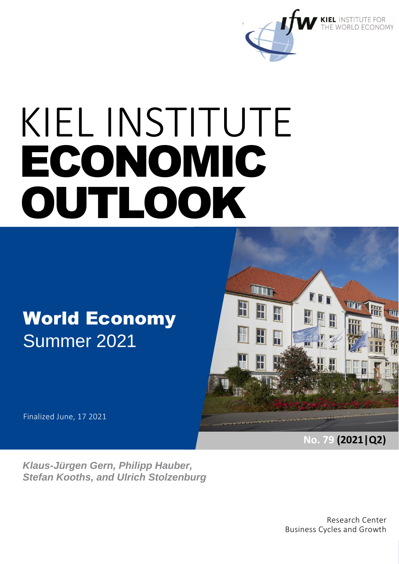

# World Economy Summer 2021



### Finalized June, 17 2021

*Klaus-Jürgen Gern, Philipp Hauber, Stefan Kooths, and Ulrich Stolzenburg* **No. 79 (2021|Q2)**

Research Center Business Cycles and Growth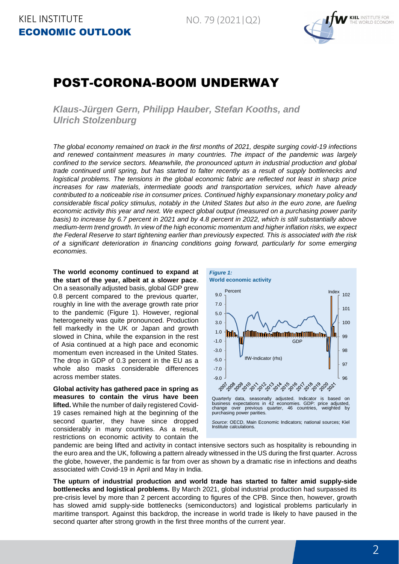

# POST-CORONA-BOOM UNDERWAY

*Klaus-Jürgen Gern, Philipp Hauber, Stefan Kooths, and Ulrich Stolzenburg*

*The global economy remained on track in the first months of 2021, despite surging covid-19 infections and renewed containment measures in many countries. The impact of the pandemic was largely confined to the service sectors. Meanwhile, the pronounced upturn in industrial production and global trade continued until spring, but has started to falter recently as a result of supply bottlenecks and logistical problems. The tensions in the global economic fabric are reflected not least in sharp price increases for raw materials, intermediate goods and transportation services, which have already contributed to a noticeable rise in consumer prices. Continued highly expansionary monetary policy and considerable fiscal policy stimulus, notably in the United States but also in the euro zone, are fueling economic activity this year and next. We expect global output (measured on a purchasing power parity basis) to increase by 6.7 percent in 2021 and by 4.8 percent in 2022, which is still substantially above medium-term trend growth. In view of the high economic momentum and higher inflation risks, we expect the Federal Reserve to start tightening earlier than previously expected. This is associated with the risk of a significant deterioration in financing conditions going forward, particularly for some emerging economies.*

**The world economy continued to expand at the start of the year, albeit at a slower pace**. On a seasonally adjusted basis, global GDP grew 0.8 percent compared to the previous quarter, roughly in line with the average growth rate prior to the pandemic (Figure 1). However, regional heterogeneity was quite pronounced. Production fell markedly in the UK or Japan and growth slowed in China, while the expansion in the rest of Asia continued at a high pace and economic momentum even increased in the United States. The drop in GDP of 0.3 percent in the EU as a whole also masks considerable differences across member states.

**Global activity has gathered pace in spring as measures to contain the virus have been lifted.** While the number of daily registered Covid-19 cases remained high at the beginning of the second quarter, they have since dropped considerably in many countries. As a result, restrictions on economic activity to contain the



*Source*: OECD, Main Economic Indicators; national sources; Kiel Institute calculations.

pandemic are being lifted and activity in contact intensive sectors such as hospitality is rebounding in the euro area and the UK, following a pattern already witnessed in the US during the first quarter. Across the globe, however, the pandemic is far from over as shown by a dramatic rise in infections and deaths associated with Covid-19 in April and May in India.

**The upturn of industrial production and world trade has started to falter amid supply-side bottlenecks and logistical problems.** By March 2021, global industrial production had surpassed its pre-crisis level by more than 2 percent according to figures of the CPB. Since then, however, growth has slowed amid supply-side bottlenecks (semiconductors) and logistical problems particularly in maritime transport. Against this backdrop, the increase in world trade is likely to have paused in the second quarter after strong growth in the first three months of the current year.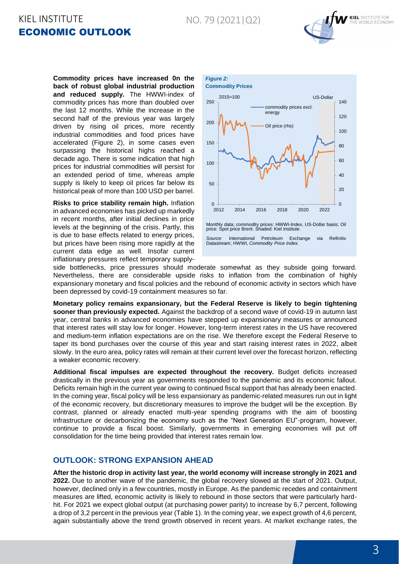#### NO. 79 (2021|Q2)

# KIEL INSTITUTE ECONOMIC OUTLOOK



**Commodity prices have increased 0n the back of robust global industrial production and reduced supply.** The HWWI-index of commodity prices has more than doubled over the last 12 months. While the increase in the second half of the previous year was largely driven by rising oil prices, more recently industrial commodities and food prices have accelerated (Figure 2), in some cases even surpassing the historical highs reached a decade ago. There is some indication that high prices for industrial commodities will persist for an extended period of time, whereas ample supply is likely to keep oil prices far below its historical peak of more than 100 USD per barrel.

**Risks to price stability remain high.** Inflation in advanced economies has picked up markedly in recent months, after initial declines in price levels at the beginning of the crisis. Partly, this is due to base effects related to energy prices, but prices have been rising more rapidly at the current data edge as well. Insofar current inflationary pressures reflect temporary supply-



side bottlenecks, price pressures should moderate somewhat as they subside going forward. Nevertheless, there are considerable upside risks to inflation from the combination of highly expansionary monetary and fiscal policies and the rebound of economic activity in sectors which have been depressed by covid-19 containment measures so far.

**Monetary policy remains expansionary, but the Federal Reserve is likely to begin tightening sooner than previously expected.** Against the backdrop of a second wave of covid-19 in autumn last year, central banks in advanced economies have stepped up expansionary measures or announced that interest rates will stay low for longer. However, long-term interest rates in the US have recovered and medium-term inflation expectations are on the rise. We therefore except the Federal Reserve to taper its bond purchases over the course of this year and start raising interest rates in 2022, albeit slowly. In the euro area, policy rates will remain at their current level over the forecast horizon, reflecting a weaker economic recovery.

**Additional fiscal impulses are expected throughout the recovery.** Budget deficits increased drastically in the previous year as governments responded to the pandemic and its economic fallout. Deficits remain high in the current year owing to continued fiscal support that has already been enacted. In the coming year, fiscal policy will be less expansionary as pandemic-related measures run out in light of the economic recovery, but discretionary measures to improve the budget will be the exception. By contrast, planned or already enacted multi-year spending programs with the aim of boosting infrastructure or decarbonizing the economy such as the "Next Generation EU"-program, however, continue to provide a fiscal boost. Similarly, governments in emerging economies will put off consolidation for the time being provided that interest rates remain low.

#### **OUTLOOK: STRONG EXPANSION AHEAD**

**After the historic drop in activity last year, the world economy will increase strongly in 2021 and 2022.** Due to another wave of the pandemic, the global recovery slowed at the start of 2021. Output, however, declined only in a few countries, mostly in Europe. As the pandemic recedes and containment measures are lifted, economic activity is likely to rebound in those sectors that were particularly hardhit. For 2021 we expect global output (at purchasing power parity) to increase by 6,7 percent, following a drop of 3,2 percent in the previous year (Table 1). In the coming year, we expect growth of 4,6 percent, again substantially above the trend growth observed in recent years. At market exchange rates, the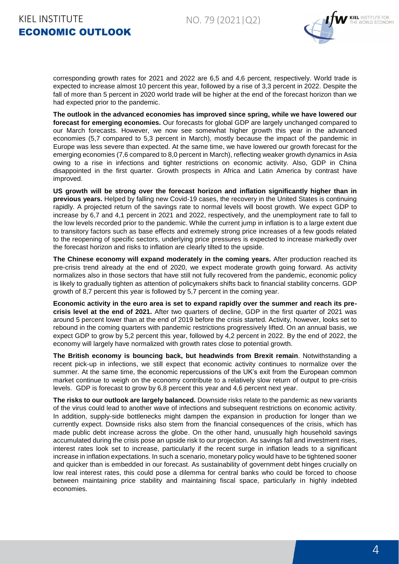

corresponding growth rates for 2021 and 2022 are 6,5 and 4,6 percent, respectively. World trade is expected to increase almost 10 percent this year, followed by a rise of 3,3 percent in 2022. Despite the fall of more than 5 percent in 2020 world trade will be higher at the end of the forecast horizon than we had expected prior to the pandemic.

**The outlook in the advanced economies has improved since spring, while we have lowered our forecast for emerging economies.** Our forecasts for global GDP are largely unchanged compared to our March forecasts. However, we now see somewhat higher growth this year in the advanced economies (5,7 compared to 5,3 percent in March), mostly because the impact of the pandemic in Europe was less severe than expected. At the same time, we have lowered our growth forecast for the emerging economies (7,6 compared to 8,0 percent in March), reflecting weaker growth dynamics in Asia owing to a rise in infections and tighter restrictions on economic activity. Also, GDP in China disappointed in the first quarter. Growth prospects in Africa and Latin America by contrast have improved.

**US growth will be strong over the forecast horizon and inflation significantly higher than in previous years.** Helped by falling new Covid-19 cases, the recovery in the United States is continuing rapidly. A projected return of the savings rate to normal levels will boost growth. We expect GDP to increase by 6,7 and 4,1 percent in 2021 and 2022, respectively, and the unemployment rate to fall to the low levels recorded prior to the pandemic. While the current jump in inflation is to a large extent due to transitory factors such as base effects and extremely strong price increases of a few goods related to the reopening of specific sectors, underlying price pressures is expected to increase markedly over the forecast horizon and risks to inflation are clearly tilted to the upside.

**The Chinese economy will expand moderately in the coming years.** After production reached its pre-crisis trend already at the end of 2020, we expect moderate growth going forward. As activity normalizes also in those sectors that have still not fully recovered from the pandemic, economic policy is likely to gradually tighten as attention of policymakers shifts back to financial stability concerns. GDP growth of 8,7 percent this year is followed by 5,7 percent in the coming year.

**Economic activity in the euro area is set to expand rapidly over the summer and reach its precrisis level at the end of 2021.** After two quarters of decline, GDP in the first quarter of 2021 was around 5 percent lower than at the end of 2019 before the crisis started. Activity, however, looks set to rebound in the coming quarters with pandemic restrictions progressively lifted. On an annual basis, we expect GDP to grow by 5,2 percent this year, followed by 4,2 percent in 2022. By the end of 2022, the economy will largely have normalized with growth rates close to potential growth.

**The British economy is bouncing back, but headwinds from Brexit remain**. Notwithstanding a recent pick-up in infections, we still expect that economic activity continues to normalize over the summer. At the same time, the economic repercussions of the UK's exit from the European common market continue to weigh on the economy contribute to a relatively slow return of output to pre-crisis levels. GDP is forecast to grow by 6,8 percent this year and 4,6 percent next year.

**The risks to our outlook are largely balanced.** Downside risks relate to the pandemic as new variants of the virus could lead to another wave of infections and subsequent restrictions on economic activity. In addition, supply-side bottlenecks might dampen the expansion in production for longer than we currently expect. Downside risks also stem from the financial consequences of the crisis, which has made public debt increase across the globe. On the other hand, unusually high household savings accumulated during the crisis pose an upside risk to our projection. As savings fall and investment rises, interest rates look set to increase, particularly if the recent surge in inflation leads to a significant increase in inflation expectations. In such a scenario, monetary policy would have to be tightened sooner and quicker than is embedded in our forecast. As sustainability of government debt hinges crucially on low real interest rates, this could pose a dilemma for central banks who could be forced to choose between maintaining price stability and maintaining fiscal space, particularly in highly indebted economies.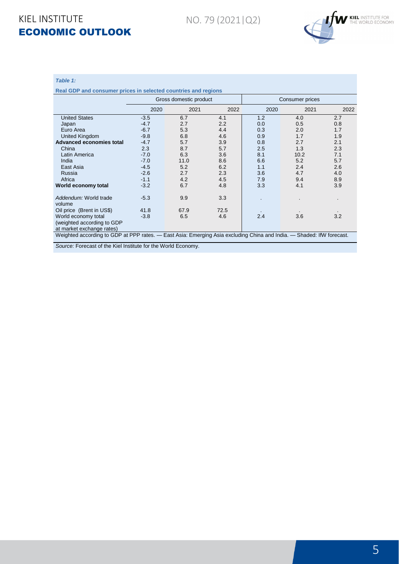NO. 79 (2021|Q2)



#### *Table 1:*

**Real GDP and consumer prices in selected countries and regions**

|                                                                                                                       |        | Gross domestic product |      | Consumer prices |      |      |  |
|-----------------------------------------------------------------------------------------------------------------------|--------|------------------------|------|-----------------|------|------|--|
|                                                                                                                       | 2020   | 2021                   | 2022 | 2020            | 2021 | 2022 |  |
| <b>United States</b>                                                                                                  | $-3.5$ | 6.7                    | 4.1  | 1.2             | 4.0  | 2.7  |  |
| Japan                                                                                                                 | $-4.7$ | 2.7                    | 2.2  | 0.0             | 0.5  | 0.8  |  |
| Euro Area                                                                                                             | $-6.7$ | 5.3                    | 4.4  | 0.3             | 2.0  | 1.7  |  |
| United Kingdom                                                                                                        | $-9.8$ | 6.8                    | 4.6  | 0.9             | 1.7  | 1.9  |  |
| Advanced economies total                                                                                              | $-4.7$ | 5.7                    | 3.9  | 0.8             | 2.7  | 2.1  |  |
| China                                                                                                                 | 2.3    | 8.7                    | 5.7  | 2.5             | 1.3  | 2.3  |  |
| Latin America                                                                                                         | $-7.0$ | 6.3                    | 3.6  | 8.1             | 10.2 | 7.1  |  |
| India                                                                                                                 | $-7.0$ | 11.0                   | 8.6  | 6.6             | 5.2  | 5.7  |  |
| East Asia                                                                                                             | $-4.5$ | 5.2                    | 6.2  | 1.1             | 2.4  | 2.6  |  |
| Russia                                                                                                                | $-2.6$ | 2.7                    | 2.3  | 3.6             | 4.7  | 4.0  |  |
| Africa                                                                                                                | $-1.1$ | 4.2                    | 4.5  | 7.9             | 9.4  | 8.9  |  |
| World economy total                                                                                                   | $-3.2$ | 6.7                    | 4.8  | 3.3             | 4.1  | 3.9  |  |
| Addendum: World trade<br>volume                                                                                       | $-5.3$ | 9.9                    | 3.3  |                 |      | ×.   |  |
| Oil price (Brent in US\$)                                                                                             | 41.8   | 67.9                   | 72.5 |                 |      |      |  |
| World economy total                                                                                                   | $-3.8$ | 6.5                    | 4.6  | 2.4             | 3.6  | 3.2  |  |
| (weighted according to GDP                                                                                            |        |                        |      |                 |      |      |  |
| at market exchange rates)                                                                                             |        |                        |      |                 |      |      |  |
| Weighted according to GDP at PPP rates. — East Asia: Emerging Asia excluding China and India. — Shaded: IfW forecast. |        |                        |      |                 |      |      |  |

*Source:* Forecast of the Kiel Institute for the World Economy.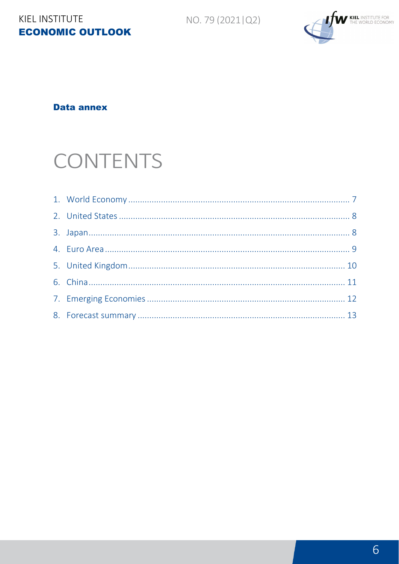NO. 79 (2021 | Q2)

# KIEL INSTITUTE **ECONOMIC OUTLOOK**



**Data annex** 

# CONTENTS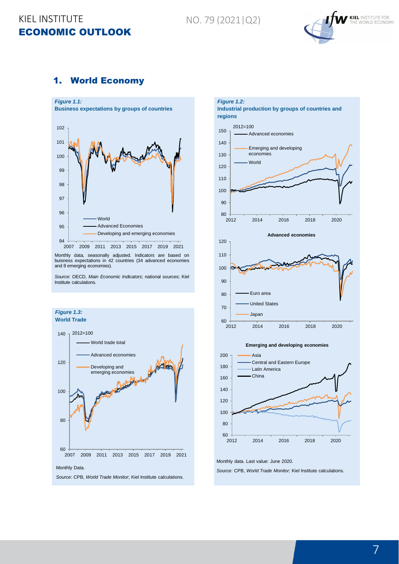NO. 79 (2021|Q2)



#### <span id="page-6-0"></span>1. World Economy



Monthly data, seasonally adjusted. Indicators are based on buisness expectations in 42 countries (34 advanced economies and 8 emerging economies).

*Source*: OECD, *Main Economic Indicators*; national sources; Kiel Institute calculations.







Monthly data. Last value: June 2020.

*Source:* CPB, *World Trade Monitor;* Kiel Institute calculations*.*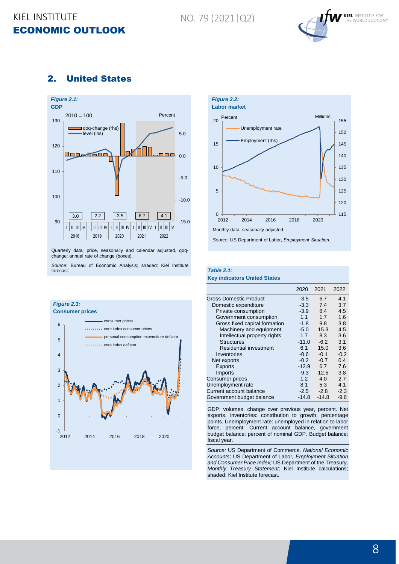NO. 79 (2021|Q2)



#### <span id="page-7-0"></span>2. United States



Quarterly data, price, seasonally and calendar adjusted, qoqchange; annual rate of change (boxes).

*Source*: Bureau of Economic Analysis; shaded: Kiel Institute forecast.





Monthly data; seasonally adjusted.

*Source:* US Department of Labor, *Employment Situation.*

## *Table 2.1:*

|  |  | <b>Key indicators United States</b> |  |
|--|--|-------------------------------------|--|
|  |  |                                     |  |

|                               | 2020    | 2021    | 2022   |
|-------------------------------|---------|---------|--------|
| Gross Domestic Product        | $-3.5$  | 6.7     | 4.1    |
| Domestic expenditure          | $-3.3$  | 7.4     | 3.7    |
| Private consumption           | $-3.9$  | 8.4     | 4.5    |
| Government consumption        | 1.1     | 1.7     | 1.6    |
| Gross fixed capital formation | $-1.8$  | 9.8     | 3.8    |
| Machinery and equipment       | $-5.0$  | 15.3    | 4.5    |
| Intellectual property rights  | 1.7     | 8.3     | 3.6    |
| <b>Structures</b>             | $-11.0$ | $-6.2$  | 3.1    |
| Residential investment        | 6.1     | 15.0    | 3.6    |
| Inventories                   | $-0.6$  | $-0.1$  | $-0.2$ |
| Net exports                   | $-0.2$  | $-0.7$  | 0.4    |
| <b>Exports</b>                | $-12.9$ | 6.7     | 7.6    |
| Imports                       | $-9.3$  | 12.5    | 3.8    |
| Consumer prices               | 1.2     | 4.0     | 2.7    |
| Unemployment rate             | 8.1     | 5.3     | 4.1    |
| Current account balance       | $-2.5$  | $-2.8$  | $-2.3$ |
| Government budget balance     | $-14.8$ | $-14.8$ | $-9.6$ |

GDP: volumes, change over previous year, percent. Net exports, inventories: contribution to growth, percentage points. Unemployment rate: unemployed in relation to labor force, percent. Current account balance, government budget balance: percent of nominal GDP. Budget balance: fiscal year.

*Source:* US Department of Commerce*, National Economic Accounts;* US Department of Labor*, Employment Situation and Consumer Price Index;* US Department of the Treasury*, Monthly Treasury Statement;* Kiel Institute calculations; shaded: Kiel Institute forecast.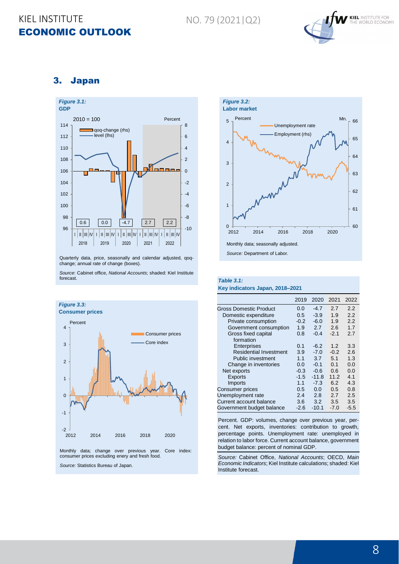

#### <span id="page-8-0"></span>3. Japan



Quarterly data, price, seasonally and calendar adjusted, qoqchange; annual rate of change (boxes).

*Source*: Cabinet office, *National Accounts*; shaded: Kiel Institute forecast.





*Source:* Department of Labor.

#### *Table 3.1:* **Key indicators Japan, 2018–2021**

|                               | 2019   | 2020    | 2021   | 2022   |
|-------------------------------|--------|---------|--------|--------|
| Gross Domestic Product        | 0.0    | $-4.7$  | 2.7    | 2.2    |
| Domestic expenditure          | 0.5    | $-3.9$  | 1.9    | 2.2    |
| Private consumption           | $-0.2$ | $-6.0$  | 1.9    | 2.2    |
| Government consumption        | 1.9    | 2.7     | 2.6    | 1.7    |
| Gross fixed capital           | 0.8    | $-0.4$  | $-2.1$ | 2.7    |
| formation                     |        |         |        |        |
| Enterprises                   | 0.1    | $-6.2$  | 1.2    | 3.3    |
| <b>Residential Investment</b> | 3.9    | $-7.0$  | $-0.2$ | 2.6    |
| Public investment             | 1.1    | 3.7     | 5.1    | 1.3    |
| Change in inventories         | 0.0    | $-0.1$  | 0.1    | 0.0    |
| Net exports                   | $-0.3$ | $-0.6$  | 0.6    | 0.0    |
| <b>Exports</b>                | $-1.5$ | $-11.8$ | 11.2   | 4.1    |
| Imports                       | 1.1    | $-7.3$  | 6.2    | 4.3    |
| <b>Consumer prices</b>        | 0.5    | 0.0     | 0.5    | 0.8    |
| Unemployment rate             | 2.4    | 2.8     | 2.7    | 2.5    |
| Current account balance       | 3.6    | 3.2     | 3.5    | 3.5    |
| Government budget balance     | $-2.6$ | $-10.1$ | $-7.0$ | $-5.5$ |

Percent. GDP: volumes, change over previous year, percent. Net exports, inventories: contribution to growth, percentage points. Unemployment rate: unemployed in relation to labor force. Current account balance, government budget balance: percent of nominal GDP.

*Source:* Cabinet Office, *National Accounts*; OECD, *Main Economic Indicators*; Kiel Institute calculations; shaded: Kiel Institute forecast.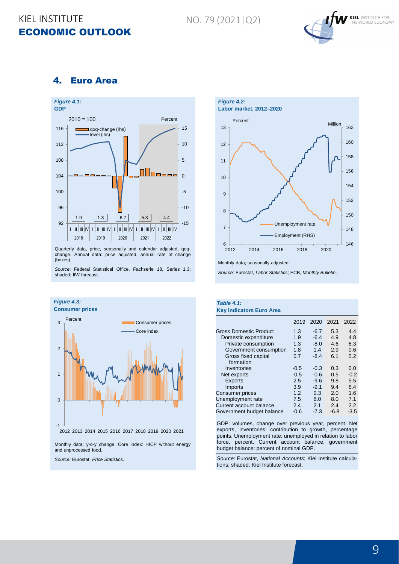NO. 79 (2021|Q2)



#### <span id="page-9-0"></span>4. Euro Area



Quarterly data, price, seasonally and calendar adjusted, qoqchange. Annual data: price adjusted, annual rate of change (boxes).

*Source*: Federal Statistical Office, Fachserie 18, Series 1.3; shaded: IfW forecast.



*Source:* Eurostat, *Price Statistics*.



Monthly data; seasonally adjusted.

*Source:* Eurostat, *Labor Statistics*; ECB, *Monthly Bulletin*.

#### *Table 4.1:* **Key indicators Euro Area**

|                           | 2019   | 2020   | 2021   | 2022   |
|---------------------------|--------|--------|--------|--------|
| Gross Domestic Product    | 1.3    | $-6.7$ | 5.3    | 4.4    |
| Domestic expenditure      | 1.9    | $-6.4$ | 4.9    | 4.8    |
| Private consumption       | 1.3    | $-8.0$ | 4.6    | 6.3    |
| Government consumption    | 1.8    | 1.4    | 2.9    | 0.6    |
| Gross fixed capital       | 5.7    | $-8.4$ | 6.1    | 5.2    |
| formation                 |        |        |        |        |
| Inventories               | $-0.5$ | $-0.3$ | 0.3    | 0.0    |
| Net exports               | $-0.5$ | $-0.6$ | 0.5    | $-0.2$ |
| <b>Exports</b>            | 2.5    | $-9.6$ | 9.8    | 5.5    |
| <b>Imports</b>            | 3.9    | $-9.1$ | 9.4    | 6.4    |
| <b>Consumer prices</b>    | 1.2    | 0.3    | 2.0    | 1.6    |
| Unemployment rate         | 7.5    | 8.0    | 8.0    | 7.1    |
| Current account balance   | 2.4    | 2.1    | 2.4    | 2.2    |
| Government budget balance | $-0.6$ | $-7.3$ | $-6.8$ | $-3.5$ |

GDP: volumes, change over previous year, percent. Net exports, inventories: contribution to growth, percentage points. Unemployment rate: unemployed in relation to labor force, percent. Current account balance, government budget balance: percent of nominal GDP.

*Source:* Eurostat, *National Accounts*; Kiel Institute calculations; shaded: Kiel Institute forecast.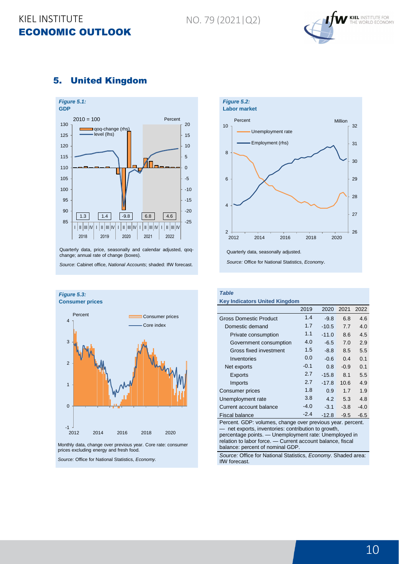NO. 79 (2021|Q2)



#### <span id="page-10-0"></span>5. United Kingdom



Quarterly data, price, seasonally and calendar adjusted, qoqchange; annual rate of change (boxes).

*Source*: Cabinet office, *National Accounts*; shaded: IfW forecast.



Monthly data, change over previous year. Core rate: consumer prices excluding energy and fresh food.

*Source:* Office for National Statistics, *Economy.*



*Table*

#### **Key Indicators United Kingdom**

|                                                            | 2019   | 2020    | 2021   | 2022   |  |  |  |
|------------------------------------------------------------|--------|---------|--------|--------|--|--|--|
| Gross Domestic Product                                     | 1.4    | $-9.8$  | 6.8    | 4.6    |  |  |  |
| Domestic demand                                            | 1.7    | $-10.5$ | 7.7    | 4.0    |  |  |  |
| Private consumption                                        | 1.1    | $-11.0$ | 8.6    | 4.5    |  |  |  |
| Government consumption                                     | 4.0    | $-6.5$  | 7.0    | 2.9    |  |  |  |
| Gross fixed investment                                     | 1.5    | $-8.8$  | 8.5    | 5.5    |  |  |  |
| Inventories                                                | 0.0    | $-0.6$  | 0.4    | 0.1    |  |  |  |
| Net exports                                                | $-0.1$ | 0.8     | $-0.9$ | 0.1    |  |  |  |
| Exports                                                    | 2.7    | $-15.8$ | 8.1    | 5.5    |  |  |  |
| Imports                                                    | 2.7    | $-17.8$ | 10.6   | 4.9    |  |  |  |
| Consumer prices                                            | 1.8    | 0.9     | 1.7    | 1.9    |  |  |  |
| Unemployment rate                                          | 3.8    | 4.2     | 5.3    | 4.8    |  |  |  |
| Current account balance                                    | $-4.0$ | $-3.1$  | $-3.8$ | $-4.0$ |  |  |  |
| Fiscal balance                                             | $-2.4$ | $-12.8$ | $-9.5$ | $-6.5$ |  |  |  |
| Percent. GDP: volumes, change over previous year. percent. |        |         |        |        |  |  |  |

net exports, inventories: contribution to growth, percentage points. — Unemployment rate: Unemployed in relation to labor force. — Current account balance, fiscal balance: percent of nominal GDP.

*Source:* Office for National Statistics, *Economy.* Shaded area: IfW forecast.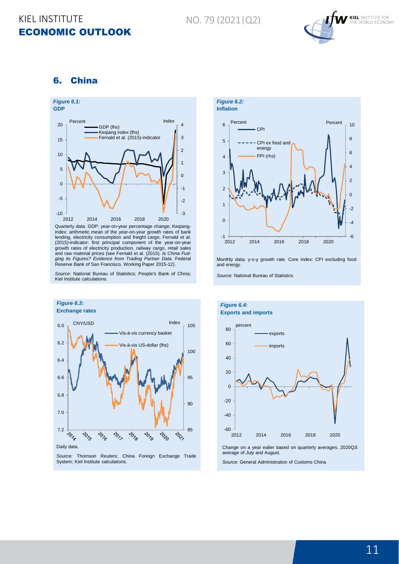NO. 79 (2021|Q2)



#### <span id="page-11-0"></span>6. China



Quarterly data. GDP: year-on-year percentage change; Keqiangindex: arithmetic mean of the year-on-year growth rates of bank lending, electricity consumption and freight cargo; Fernald et al. (2015)-indicator: first principal component of the year-on-year growth rates of electricity production, railway cargo, retail sales and raw material prices (see Fernald et al. (2015). *Is China Fudging its Figures? Evidence from Trading Partner Data.* Federal Reserve Bank of San Francisco, Working Paper 2015-12).

*Source:* National Bureau of Statistics; People's Bank of China; Kiel Institute calculations.



Monthly data; y-o-y growth rate. Core index: CPI excluding food and energy.

*Source:* National Bureau of Statistics.



*Source:* Thomson Reuters; China Foreign Exchange Trade System; Kiel Institute calculations.



Change on a year ealier based on quarterly averages. 2020Q3: average of July and August.

*Source:* General Administration of Customs China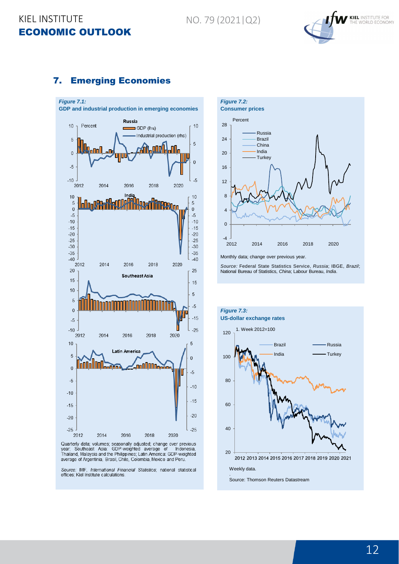

#### <span id="page-12-0"></span>7. Emerging Economies



Quarterly data; volumes; seasonally adjusted; change over previous<br>year; Southeast Asia: GDP-weighted average of Indonesia,<br>Thailand, Malaysia and the Philippines; Latin America: GDP-weighted average of Argentinia, Brasil, Chile, Colombia, Mexico and Peru.

Source: IMF, International Financial Statistics; national statistical offices; Kiel Institute calculations.



National Bureau of Statistics, *China*; Labour Bureau, *India*.

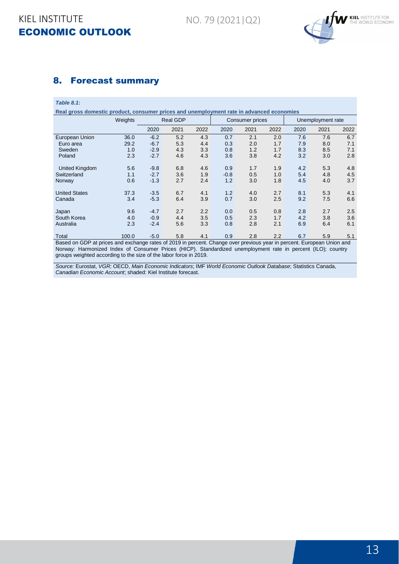

#### <span id="page-13-0"></span>8. Forecast summary

*Table 8.1:*

**Real gross domestic product, consumer prices and unemployment rate in advanced economies**

|                       | Weights | <b>Real GDP</b> |      |      | Consumer prices |      |      | Unemployment rate |      |      |  |
|-----------------------|---------|-----------------|------|------|-----------------|------|------|-------------------|------|------|--|
|                       |         | 2020            | 2021 | 2022 | 2020            | 2021 | 2022 | 2020              | 2021 | 2022 |  |
| European Union        | 36.0    | $-6.2$          | 5.2  | 4.3  | 0.7             | 2.1  | 2.0  | 7.6               | 7.6  | 6.7  |  |
| Euro area             | 29.2    | $-6.7$          | 5.3  | 4.4  | 0.3             | 2.0  | 1.7  | 7.9               | 8.0  | 7.1  |  |
| Sweden                | 1.0     | $-2.9$          | 4.3  | 3.3  | 0.8             | 1.2  | 1.7  | 8.3               | 8.5  | 7.1  |  |
| Poland                | 2.3     | $-2.7$          | 4.6  | 4.3  | 3.6             | 3.8  | 4.2  | 3.2               | 3.0  | 2.8  |  |
|                       |         |                 |      |      |                 |      |      |                   |      |      |  |
| <b>United Kingdom</b> | 5.6     | $-9.8$          | 6.8  | 4.6  | 0.9             | 1.7  | 1.9  | 4.2               | 5.3  | 4.8  |  |
| Switzerland           | 1.1     | $-2.7$          | 3.6  | 1.9  | $-0.8$          | 0.5  | 1.0  | 5.4               | 4.8  | 4.5  |  |
| Norway                | 0.6     | $-1.3$          | 2.7  | 2.4  | 1.2             | 3.0  | 1.8  | 4.5               | 4.0  | 3.7  |  |
|                       |         |                 |      |      |                 |      |      |                   |      |      |  |
| <b>United States</b>  | 37.3    | $-3.5$          | 6.7  | 4.1  | 1.2             | 4.0  | 2.7  | 8.1               | 5.3  | 4.1  |  |
| Canada                | 3.4     | $-5.3$          | 6.4  | 3.9  | 0.7             | 3.0  | 2.5  | 9.2               | 7.5  | 6.6  |  |
|                       |         |                 |      |      |                 |      |      |                   |      |      |  |
| Japan                 | 9.6     | $-4.7$          | 2.7  | 2.2  | 0.0             | 0.5  | 0.8  | 2.8               | 2.7  | 2.5  |  |
| South Korea           | 4.0     | $-0.9$          | 4.4  | 3.5  | 0.5             | 2.3  | 1.7  | 4.2               | 3.8  | 3.6  |  |
| Australia             | 2.3     | $-2.4$          | 5.6  | 3.3  | 0.8             | 2.8  | 2.1  | 6.9               | 6.4  | 6.1  |  |
|                       |         |                 |      |      |                 |      |      |                   |      |      |  |
| Total                 | 100.0   | $-5.0$          | 5.8  | 4.1  | 0.9             | 2.8  | 2.2  | 6.7               | 5.9  | 5.1  |  |

Based on GDP at prices and exchange rates of 2019 in percent. Change over previous year in percent. European Union and Norway: Harmonized Index of Consumer Prices (HICP). Standardized unemployment rate in percent (ILO); country groups weighted according to the size of the labor force in 2019.

*Source:* Eurostat, *VGR;* OECD, *Main Economic Indicators*; IMF *World Economic Outlook Database*; Statistics Canada, *Canadian Economic Account*; shaded: Kiel Institute forecast.